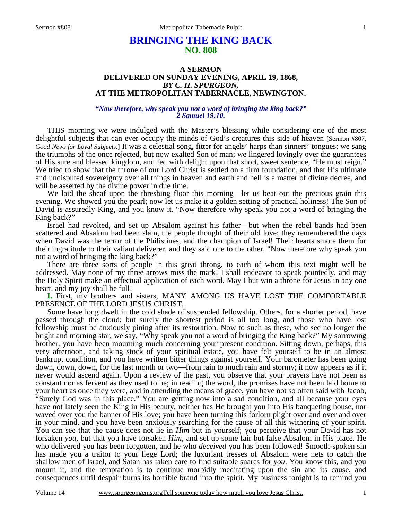# **BRINGING THE KING BACK NO. 808**

#### **A SERMON DELIVERED ON SUNDAY EVENING, APRIL 19, 1868,**  *BY C. H. SPURGEON,*  **AT THE METROPOLITAN TABERNACLE, NEWINGTON.**

#### *"Now therefore, why speak you not a word of bringing the king back?" 2 Samuel 19:10.*

THIS morning we were indulged with the Master's blessing while considering one of the most delightful subjects that can ever occupy the minds of God's creatures this side of heaven [Sermon #807, *Good News for Loyal Subjects.*] It was a celestial song, fitter for angels' harps than sinners' tongues; we sang the triumphs of the once rejected, but now exalted Son of man; we lingered lovingly over the guarantees of His sure and blessed kingdom, and fed with delight upon that short, sweet sentence, "He must reign." We tried to show that the throne of our Lord Christ is settled on a firm foundation, and that His ultimate and undisputed sovereignty over all things in heaven and earth and hell is a matter of divine decree, and will be asserted by the divine power in due time.

 We laid the sheaf upon the threshing floor this morning—let us beat out the precious grain this evening. We showed you the pearl; now let us make it a golden setting of practical holiness! The Son of David is assuredly King, and you know it. "Now therefore why speak you not a word of bringing the King back?"

 Israel had revolted, and set up Absalom against his father—but when the rebel bands had been scattered and Absalom had been slain, the people thought of their old love; they remembered the days when David was the terror of the Philistines, and the champion of Israel! Their hearts smote them for their ingratitude to their valiant deliverer, and they said one to the other, "Now therefore why speak you not a word of bringing the king back?"

 There are three sorts of people in this great throng, to each of whom this text might well be addressed. May none of my three arrows miss the mark! I shall endeavor to speak pointedly, and may the Holy Spirit make an effectual application of each word. May I but win a throne for Jesus in any *one* heart, and my joy shall be full!

**I.** First, my brothers and sisters, MANY AMONG US HAVE LOST THE COMFORTABLE PRESENCE OF THE LORD JESUS CHRIST.

 Some have long dwelt in the cold shade of suspended fellowship. Others, for a shorter period, have passed through the cloud; but surely the shortest period is all too long, and those who have lost fellowship must be anxiously pining after its restoration. Now to such as these, who see no longer the bright and morning star, we say, "Why speak you not a word of bringing the King back?" My sorrowing brother, you have been mourning much concerning your present condition. Sitting down, perhaps, this very afternoon, and taking stock of your spiritual estate, you have felt yourself to be in an almost bankrupt condition, and you have written bitter things against yourself. Your barometer has been going down, down, down, for the last month or two—from rain to much rain and stormy; it now appears as if it never would ascend again. Upon a review of the past, you observe that your prayers have not been as constant nor as fervent as they used to be; in reading the word, the promises have not been laid home to your heart as once they were, and in attending the means of grace, you have not so often said with Jacob, "Surely God was in this place." You are getting now into a sad condition, and all because your eyes have not lately seen the King in His beauty, neither has He brought you into His banqueting house, nor waved over you the banner of His love; you have been turning this forlorn plight over and over and over in your mind, and you have been anxiously searching for the cause of all this withering of your spirit. You can see that the cause does not lie in *Him* but in yourself; you perceive that your David has not forsaken *you*, but that you have forsaken *Him*, and set up some fair but false Absalom in His place. He who delivered you has been forgotten, and he who *deceived* you has been followed! Smooth-spoken sin has made you a traitor to your liege Lord; the luxuriant tresses of Absalom were nets to catch the shallow men of Israel, and Satan has taken care to find suitable snares for *you*. You know this, and you mourn it, and the temptation is to continue morbidly meditating upon the sin and its cause, and consequences until despair burns its horrible brand into the spirit. My business tonight is to remind you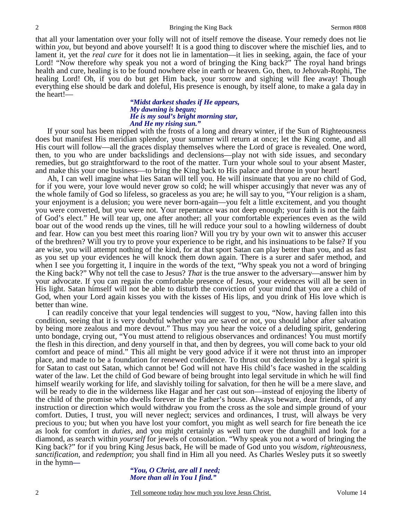that all your lamentation over your folly will not of itself remove the disease. Your remedy does not lie within *you*, but beyond and above yourself! It is a good thing to discover where the mischief lies, and to lament it, yet the *real cure* for it does not lie in lamentation—it lies in seeking, again, the face of your Lord! "Now therefore why speak you not a word of bringing the King back?" The royal hand brings health and cure, healing is to be found nowhere else in earth or heaven. Go, then, to Jehovah-Rophi, The healing Lord! Oh, if you do but get Him back, your sorrow and sighing will flee away! Though everything else should be dark and doleful, His presence is enough, by itself alone, to make a gala day in the heart!—

#### *"Midst darkest shades if He appears, My dawning is begun; He is my soul's bright morning star, And He my rising sun."*

 If your soul has been nipped with the frosts of a long and dreary winter, if the Sun of Righteousness does but manifest His meridian splendor, your summer will return at once; let the King come, and all His court will follow—all the graces display themselves where the Lord of grace is revealed. One word, then, to you who are under backslidings and declensions—play not with side issues, and secondary remedies, but go straightforward to the root of the matter. Turn your whole soul to your absent Master, and make this your one business—to bring the King back to His palace and throne in your heart!

 Ah, I can well imagine what lies Satan will tell you. He will insinuate that you are no child of God, for if you were, your love would never grow so cold; he will whisper accusingly that never was any of the whole family of God so lifeless, so graceless as you are; he will say to you, "Your religion is a sham, your enjoyment is a delusion; you were never born-again—you felt a little excitement, and you thought you were converted, but you were not. Your repentance was not deep enough; your faith is not the faith of God's elect." He will tear up, one after another; all your comfortable experiences even as the wild boar out of the wood rends up the vines, till he will reduce your soul to a howling wilderness of doubt and fear. How can you best meet this roaring lion? Will you try by your own wit to answer this accuser of the brethren? Will you try to prove your experience to be right, and his insinuations to be false? If you are wise, you will attempt nothing of the kind, for at that sport Satan can play better than you, and as fast as you set up your evidences he will knock them down again. There is a surer and safer method, and when I see you forgetting it, I inquire in the words of the text, "Why speak you not a word of bringing the King back?" Why not tell the case to Jesus? *That* is the true answer to the adversary—answer him by your advocate. If you can regain the comfortable presence of Jesus, your evidences will all be seen in His light. Satan himself will not be able to disturb the conviction of your mind that you are a child of God, when your Lord again kisses you with the kisses of His lips, and you drink of His love which is better than wine.

 I can readily conceive that your legal tendencies will suggest to you, "Now, having fallen into this condition, seeing that it is very doubtful whether you are saved or not, you should labor after salvation by being more zealous and more devout." Thus may you hear the voice of a deluding spirit, gendering unto bondage, crying out, "You must attend to religious observances and ordinances! You must mortify the flesh in this direction, and deny yourself in that, and then by degrees, you will come back to your old comfort and peace of mind." This all might be very good advice if it were not thrust into an improper place, and made to be a foundation for renewed confidence. To thrust out declension by a legal spirit is for Satan to cast out Satan, which cannot be! God will not have His child's face washed in the scalding water of the law. Let the child of God beware of being brought into legal servitude in which he will find himself wearily working for life, and slavishly toiling for salvation, for then he will be a mere slave, and will be ready to die in the wilderness like Hagar and her cast out son—instead of enjoying the liberty of the child of the promise who dwells forever in the Father's house. Always beware, dear friends, of any instruction or direction which would withdraw you from the cross as the sole and simple ground of your comfort. Duties, I trust, you will never neglect; services and ordinances, I trust, will always be very precious to you; but when you have lost your comfort, you might as well search for fire beneath the ice as look for comfort in *duties,* and you might certainly as well turn over the dunghill and look for a diamond, as search within *yourself* for jewels of consolation. "Why speak you not a word of bringing the King back?" for if you bring King Jesus back, He will be made of God unto you *wisdom*, *righteousness*, *sanctification*, and *redemption*; you shall find in Him all you need. As Charles Wesley puts it so sweetly in the hymn*—* 

*"You, O Christ, are all I need; More than all in You I find."*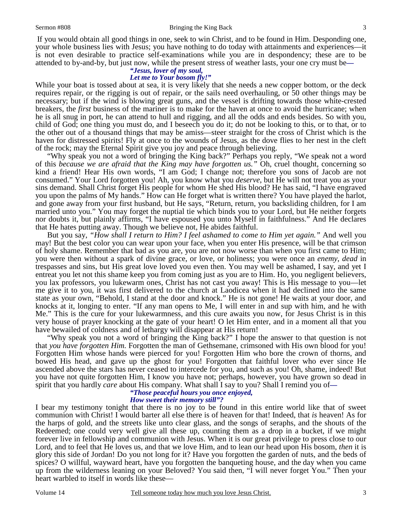If you would obtain all good things in one, seek to win Christ, and to be found in Him. Desponding one, your whole business lies with Jesus; you have nothing to do today with attainments and experiences—it is not even desirable to practice self-examinations while you are in despondency; these are to be attended to by-and-by, but just now, while the present stress of weather lasts, your one cry must be*—* 

#### *"Jesus, lover of my soul, Let me to Your bosom fly!"*

While your boat is tossed about at sea, it is very likely that she needs a new copper bottom, or the deck requires repair, or the rigging is out of repair, or the sails need overhauling, or 50 other things may be necessary; but if the wind is blowing great guns, and the vessel is drifting towards those white-crested breakers, the *first* business of the mariner is to make for the haven at once to avoid the hurricane; when he is all snug in port, he can attend to hull and rigging, and all the odds and ends besides. So with you, child of God; one thing you must do, and I beseech you do it; do not be looking to this, or to that, or to the other out of a thousand things that may be amiss—steer straight for the cross of Christ which is the haven for distressed spirits! Fly at once to the wounds of Jesus, as the dove flies to her nest in the cleft of the rock; may the Eternal Spirit give you joy and peace through believing.

 "Why speak you not a word of bringing the King back?" Perhaps you reply, "We speak not a word of this *because we are afraid that the King may have forgotten us."* Oh, cruel thought, concerning so kind a friend! Hear His own words, "I am God; I change not; therefore you sons of Jacob are not consumed." Your Lord forgotten you! Ah, you know what you *deserve*, but He will not treat you as your sins demand. Shall Christ forget His people for whom He shed His blood? He has said, "I have engraved you upon the palms of My hands." How can He forget what is written there? You have played the harlot, and gone away from your first husband, but He says, "Return, return, you backsliding children, for I am married unto you." You may forget the nuptial tie which binds you to your Lord, but He neither forgets nor doubts it, but plainly affirms, "I have espoused you unto Myself in faithfulness." And He declares that He hates putting away. Though we believe not, He abides faithful.

 But you say, *"How shall I return to Him? I feel ashamed to come to Him yet again."* And well you may! But the best color you can wear upon your face, when you enter His presence, will be that crimson of holy shame. Remember that bad as you are, you are not now worse than when you first came to Him; you were then without a spark of divine grace, or love, or holiness; you were once an *enemy*, *dead* in trespasses and sins, but His great love loved you even then. You may well be ashamed, I say, and yet I entreat you let not this shame keep you from coming just as you are to Him. Ho, you negligent believers, you lax professors, you lukewarm ones, Christ has not cast you away! This is His message to you—let me give it to you, it was first delivered to the church at Laodicea when it had declined into the same state as your own, "Behold, I stand at the door and knock." He is not gone! He waits at your door, and knocks at it, longing to enter. "If any man opens to Me, I will enter in and sup with him, and he with Me." This is the cure for your lukewarmness, and this cure awaits you now, for Jesus Christ is in this very house of prayer knocking at the gate of your heart! O let Him enter, and in a moment all that you have bewailed of coldness and of lethargy will disappear at His return!

 "Why speak you not a word of bringing the King back?" I hope the answer to that question is not that *you have forgotten Him.* Forgotten the man of Gethsemane, crimsoned with His own blood for you! Forgotten Him whose hands were pierced for you! Forgotten Him who bore the crown of thorns, and bowed His head, and gave up the ghost for you! Forgotten that faithful lover who ever since He ascended above the stars has never ceased to intercede for you, and such as you! Oh, shame, indeed! But you have not quite forgotten Him, I know you have not; perhaps, however, you have grown so dead in spirit that you hardly *care* about His company. What shall I say to you? Shall I remind you of*—* 

## *"Those peaceful hours you once enjoyed,*

#### *How sweet their memory still"?*

I bear my testimony tonight that there is no joy to be found in this entire world like that of sweet communion with Christ! I would barter all else there is of heaven for that! Indeed, that *is* heaven! As for the harps of gold, and the streets like unto clear glass, and the songs of seraphs, and the shouts of the Redeemed; one could very well give all these up, counting them as a drop in a bucket, if we might forever live in fellowship and communion with Jesus. When it is our great privilege to press close to our Lord, and to feel that He loves us, and that we love Him, and to lean our head upon His bosom, *then* it is glory this side of Jordan! Do you not long for it? Have you forgotten the garden of nuts, and the beds of spices? O willful, wayward heart, have you forgotten the banqueting house, and the day when you came up from the wilderness leaning on your Beloved? You said then, "I will never forget You." Then your heart warbled to itself in words like these—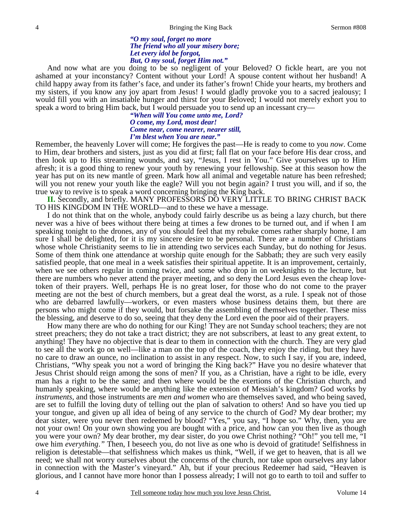#### *"O my soul, forget no more The friend who all your misery bore; Let every idol be forgot, But, O my soul, forget Him not."*

 And now what are you doing to be so negligent of your Beloved? O fickle heart, are you not ashamed at your inconstancy? Content without your Lord! A spouse content without her husband! A child happy away from its father's face, and under its father's frown! Chide your hearts, my brothers and my sisters, if you know any joy apart from Jesus! I would gladly provoke you to a sacred jealousy; I would fill you with an insatiable hunger and thirst for your Beloved; I would not merely exhort you to speak a word to bring Him back, but I would persuade you to send up an incessant cry—

> *"When will You come unto me, Lord? O come, my Lord, most dear! Come near, come nearer, nearer still, I'm blest when You are near."*

Remember, the heavenly Lover will come; He forgives the past—He is ready to come to you *now*. Come to Him, dear brothers and sisters, just as you did at first; fall flat on your face before His dear cross, and then look up to His streaming wounds, and say, "Jesus, I rest in You." Give yourselves up to Him afresh; it is a good thing to renew your youth by renewing your fellowship. See at this season how the year has put on its new mantle of green. Mark how all animal and vegetable nature has been refreshed; will you not renew your youth like the eagle? Will you not begin again? I trust you will, and if so, the true way to revive is to speak a word concerning bringing the King back.

**II.** Secondly, and briefly. MANY PROFESSORS DO VERY LITTLE TO BRING CHRIST BACK TO HIS KINGDOM IN THE WORLD—and to these we have a message.

 I do not think that on the whole, anybody could fairly describe us as being a lazy church, but there never was a hive of bees without there being at times a few drones to be turned out, and if when I am speaking tonight to the drones, any of you should feel that my rebuke comes rather sharply home, I am sure I shall be delighted, for it is my sincere desire to be personal. There are a number of Christians whose whole Christianity seems to lie in attending two services each Sunday, but do nothing for Jesus. Some of them think one attendance at worship quite enough for the Sabbath; they are such very easily satisfied people, that one meal in a week satisfies their spiritual appetite. It is an improvement, certainly, when we see others regular in coming twice, and some who drop in on weeknights to the lecture, but there are numbers who never attend the prayer meeting, and so deny the Lord Jesus even the cheap lovetoken of their prayers. Well, perhaps He is no great loser, for those who do not come to the prayer meeting are not the best of church members, but a great deal the worst, as a rule. I speak not of those who are debarred lawfully—workers, or even masters whose business detains them, but there are persons who might come if they would, but forsake the assembling of themselves together. These miss the blessing, and deserve to do so, seeing that they deny the Lord even the poor aid of their prayers.

 How many there are who do nothing for our King! They are not Sunday school teachers; they are not street preachers; they do not take a tract district; they are not subscribers, at least to any great extent, to anything! They have no objective that is dear to them in connection with the church. They are very glad to see all the work go on well—like a man on the top of the coach, they enjoy the riding, but they have no care to draw an ounce, no inclination to assist in any respect. Now, to such I say, if you are, indeed, Christians, "Why speak you not a word of bringing the King back?" Have you no desire whatever that Jesus Christ should reign among the sons of men? If you, as a Christian, have a right to be idle, every man has a right to be the same; and then where would be the exertions of the Christian church, and humanly speaking, where would be anything like the extension of Messiah's kingdom? God works by *instruments,* and those instruments are *men and women* who are themselves saved, and who being saved, are set to fulfill the loving duty of telling out the plan of salvation to others! And so have you tied up your tongue, and given up all idea of being of any service to the church of God? My dear brother; my dear sister, were you never then redeemed by blood? "Yes," you say, "I hope so." Why, then, you are not your own! On your own showing you are bought with a price, and how can you then live as though you were your own? My dear brother, my dear sister, do you owe Christ nothing? "Oh!" you tell me, "I owe him *everything*.*"* Then, I beseech you, do not live as one who is devoid of gratitude! Selfishness in religion is detestable—that selfishness which makes us think, "Well, if we get to heaven, that is all we need; we shall not worry ourselves about the concerns of the church, nor take upon ourselves any labor in connection with the Master's vineyard." Ah, but if your precious Redeemer had said, "Heaven is glorious, and I cannot have more honor than I possess already; I will not go to earth to toil and suffer to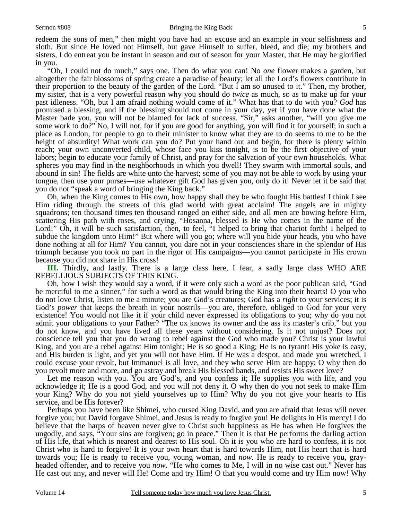redeem the sons of men," then might you have had an excuse and an example in your selfishness and sloth. But since He loved not Himself, but gave Himself to suffer, bleed, and die; my brothers and sisters, I do entreat you be instant in season and out of season for your Master, that He may be glorified in you.

 "Oh, I could not do much," says one. Then do what you can! No *one* flower makes a garden, but altogether the fair blossoms of spring create a paradise of beauty; let all the Lord's flowers contribute in their proportion to the beauty of the garden of the Lord. "But I am so unused to it." Then, my brother, my sister, that is a very powerful reason why you should do *twice* as much, so as to make up for your past idleness. "Oh, but I am afraid nothing would come of it." What has that to do with you? *God* has promised a blessing, and if the blessing should not come in your day, yet if you have done what the Master bade you, you will not be blamed for lack of success. "Sir," asks another, "will you give me some work to do?" No, I will not, for if you are good for anything, you will find it for yourself; in such a place as London, for people to go to their minister to know what they are to do seems to me to be the height of absurdity! What work can you do? Put your hand out and begin, for there is plenty within reach; your own unconverted child, whose face you kiss tonight, is to be the first objective of your labors; begin to educate your family of Christ, and pray for the salvation of your own households. What spheres you may find in the neighborhoods in which you dwell! They swarm with immortal souls, and abound in sin! The fields are white unto the harvest; some of you may not be able to work by using your tongue, then use your purses—use whatever gift God has given you, only do it! Never let it be said that you do not "speak a word of bringing the King back."

 Oh, when the King comes to His own, how happy shall they be who fought His battles! I think I see Him riding through the streets of this glad world with great acclaim! The angels are in mighty squadrons; ten thousand times ten thousand ranged on either side, and all men are bowing before Him, scattering His path with roses, and crying, "Hosanna, blessed is He who comes in the name of the Lord!" Oh, it will be such satisfaction, then, to feel, "I helped to bring that chariot forth! I helped to subdue the kingdom unto Him!" But where will you go; where will you hide your heads, you who have done nothing at all for Him? You cannot, you dare not in your consciences share in the splendor of His triumph because you took no part in the rigor of His campaigns—you cannot participate in His crown because you did not share in His cross!

**III.** Thirdly, and lastly. There is a large class here, I fear, a sadly large class WHO ARE REBELLIOUS SUBJECTS OF THIS KING.

 Oh, how I wish they would say a word, if it were only such a word as the poor publican said, "God be merciful to me a sinner," for such a word as that would bring the King into their hearts! O you who do not love Christ, listen to me a minute; you are God's creatures; God has a *right* to your services; it is God's *power* that keeps the breath in your nostrils—you are, therefore, obliged to God for your very existence! You would not like it if your child never expressed its obligations to you; why do you not admit your obligations to your Father? "The ox knows its owner and the ass its master's crib," but you do not know, and you have lived all these years without considering. Is it not unjust? Does not conscience tell you that you do wrong to rebel against the God who made you? Christ is your lawful King, and you are a rebel against Him tonight; He is so good a King; He is no tyrant! His yoke is easy, and His burden is light, and yet you will not have Him. If He was a despot, and made you wretched, I could excuse your revolt, but Immanuel is all love, and they who serve Him are happy; O why then do you revolt more and more, and go astray and break His blessed bands, and resists His sweet love?

 Let me reason with you. You are God's, and you confess it; He supplies you with life, and you acknowledge it; He is a good God, and you will not deny it. O why then do you not seek to make Him your King? Why do you not yield yourselves up to Him? Why do you not give your hearts to His service, and be His forever?

 Perhaps you have been like Shimei, who cursed King David, and you are afraid that Jesus will never forgive you; but David forgave Shimei, and Jesus is ready to forgive you! He delights in His mercy! I do believe that the harps of heaven never give to Christ such happiness as He has when He forgives the ungodly, and says, "Your sins are forgiven; go in peace." Then it is that He performs the darling action of His life, that which is nearest and dearest to His soul. Oh it is you who are hard to confess, it is not Christ who is hard to forgive! It is your own heart that is hard towards Him, not His heart that is hard towards you; He is ready to receive you, young woman, and *now.* He is ready to receive you, grayheaded offender, and to receive you *now*. "He who comes to Me, I will in no wise cast out." Never has He cast out any, and never will He! Come and try Him! O that you would come and try Him now! Why